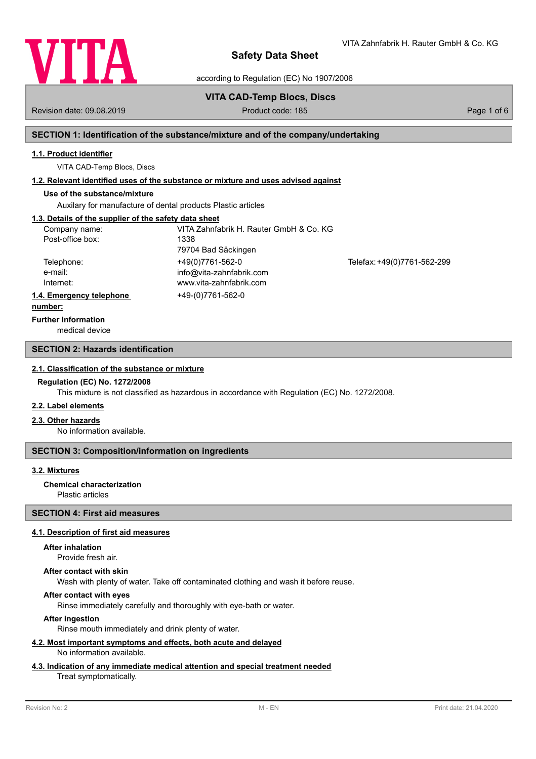

VITA Zahnfabrik H. Rauter GmbH & Co. KG

according to Regulation (EC) No 1907/2006

# **VITA CAD-Temp Blocs, Discs**

Revision date: 09.08.2019 **Product code: 185** Product code: 185 **Page 1 of 6** Page 1 of 6

# **SECTION 1: Identification of the substance/mixture and of the company/undertaking**

# **1.1. Product identifier**

VITA CAD-Temp Blocs, Discs

# **1.2. Relevant identified uses of the substance or mixture and uses advised against**

# **Use of the substance/mixture**

Auxilary for manufacture of dental products Plastic articles

# **1.3. Details of the supplier of the safety data sheet**

| Company name:            | VITA Zahnfabrik H. Rauter GmbH & Co. KG |                             |
|--------------------------|-----------------------------------------|-----------------------------|
| Post-office box:         | 1338                                    |                             |
|                          | 79704 Bad Säckingen                     |                             |
| Telephone:               | +49(0)7761-562-0                        | Telefax: +49(0)7761-562-299 |
| e-mail:                  | info@vita-zahnfabrik.com                |                             |
| Internet:                | www.vita-zahnfabrik.com                 |                             |
| 1.4. Emergency telephone | +49-(0)7761-562-0                       |                             |
| .                        |                                         |                             |

#### **number:**

**Further Information**

medical device

## **SECTION 2: Hazards identification**

### **2.1. Classification of the substance or mixture**

### **Regulation (EC) No. 1272/2008**

This mixture is not classified as hazardous in accordance with Regulation (EC) No. 1272/2008.

## **2.2. Label elements**

### **2.3. Other hazards**

No information available.

## **SECTION 3: Composition/information on ingredients**

## **3.2. Mixtures**

Plastic articles **Chemical characterization**

## **SECTION 4: First aid measures**

### **4.1. Description of first aid measures**

### **After inhalation**

Provide fresh air.

### **After contact with skin**

Wash with plenty of water. Take off contaminated clothing and wash it before reuse.

## **After contact with eyes**

Rinse immediately carefully and thoroughly with eye-bath or water.

## **After ingestion**

Rinse mouth immediately and drink plenty of water.

#### **4.2. Most important symptoms and effects, both acute and delayed** No information available.

# **4.3. Indication of any immediate medical attention and special treatment needed**

## Treat symptomatically.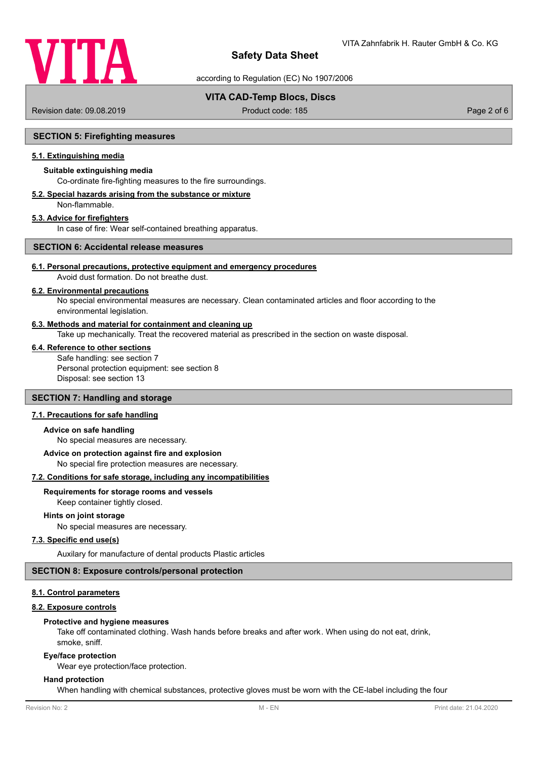

according to Regulation (EC) No 1907/2006

# **VITA CAD-Temp Blocs, Discs**

Revision date: 09.08.2019 **Product code: 185** Page 2 of 6

### **SECTION 5: Firefighting measures**

## **5.1. Extinguishing media**

## **Suitable extinguishing media**

Co-ordinate fire-fighting measures to the fire surroundings.

#### **5.2. Special hazards arising from the substance or mixture** Non-flammable.

### **5.3. Advice for firefighters**

In case of fire: Wear self-contained breathing apparatus.

## **SECTION 6: Accidental release measures**

## **6.1. Personal precautions, protective equipment and emergency procedures**

Avoid dust formation. Do not breathe dust.

## **6.2. Environmental precautions**

No special environmental measures are necessary. Clean contaminated articles and floor according to the environmental legislation.

### **6.3. Methods and material for containment and cleaning up**

Take up mechanically. Treat the recovered material as prescribed in the section on waste disposal.

#### **6.4. Reference to other sections**

Safe handling: see section 7 Personal protection equipment: see section 8 Disposal: see section 13

## **SECTION 7: Handling and storage**

## **7.1. Precautions for safe handling**

#### **Advice on safe handling**

No special measures are necessary.

#### **Advice on protection against fire and explosion**

No special fire protection measures are necessary.

#### **7.2. Conditions for safe storage, including any incompatibilities**

## **Requirements for storage rooms and vessels**

Keep container tightly closed.

#### **Hints on joint storage**

No special measures are necessary.

## **7.3. Specific end use(s)**

Auxilary for manufacture of dental products Plastic articles

#### **SECTION 8: Exposure controls/personal protection**

### **8.1. Control parameters**

#### **8.2. Exposure controls**

#### **Protective and hygiene measures**

Take off contaminated clothing. Wash hands before breaks and after work. When using do not eat, drink, smoke, sniff.

#### **Eye/face protection**

Wear eye protection/face protection.

## **Hand protection**

When handling with chemical substances, protective gloves must be worn with the CE-label including the four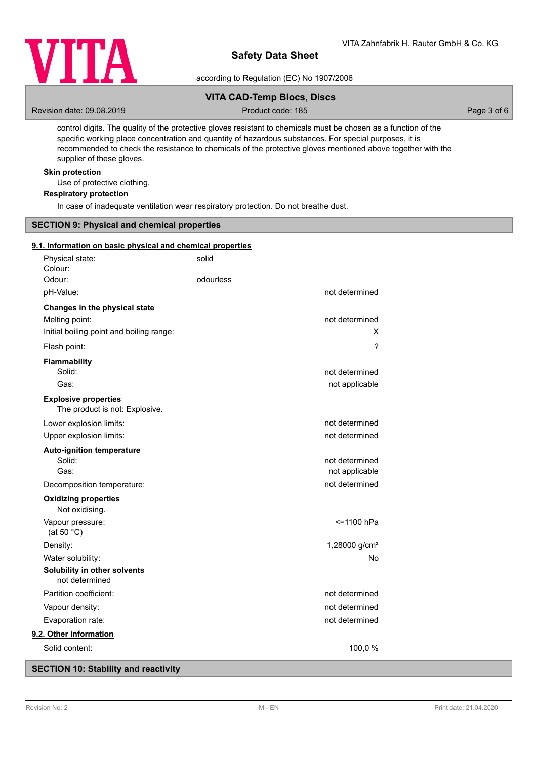

according to Regulation (EC) No 1907/2006

# **VITA CAD-Temp Blocs, Discs**

Revision date: 09.08.2019 **Product code: 185** Page 3 of 6

control digits. The quality of the protective gloves resistant to chemicals must be chosen as a function of the specific working place concentration and quantity of hazardous substances. For special purposes, it is recommended to check the resistance to chemicals of the protective gloves mentioned above together with the supplier of these gloves.

## **Skin protection**

Use of protective clothing.

## **Respiratory protection**

In case of inadequate ventilation wear respiratory protection. Do not breathe dust.

### **SECTION 9: Physical and chemical properties**

## **9.1. Information on basic physical and chemical properties**

| Physical state:<br>Colour:                                    | solid     |                           |
|---------------------------------------------------------------|-----------|---------------------------|
| Odour:                                                        | odourless |                           |
| pH-Value:                                                     |           | not determined            |
| Changes in the physical state                                 |           |                           |
| Melting point:                                                |           | not determined            |
| Initial boiling point and boiling range:                      |           | x                         |
| Flash point:                                                  |           | ?                         |
| <b>Flammability</b>                                           |           |                           |
| Solid:                                                        |           | not determined            |
| Gas:                                                          |           | not applicable            |
| <b>Explosive properties</b><br>The product is not: Explosive. |           |                           |
| Lower explosion limits:                                       |           | not determined            |
| Upper explosion limits:                                       |           | not determined            |
| <b>Auto-ignition temperature</b>                              |           |                           |
| Solid:                                                        |           | not determined            |
| Gas:                                                          |           | not applicable            |
| Decomposition temperature:                                    |           | not determined            |
| <b>Oxidizing properties</b><br>Not oxidising.                 |           |                           |
| Vapour pressure:<br>(at 50 $^{\circ}$ C)                      |           | <=1100 hPa                |
| Density:                                                      |           | 1,28000 g/cm <sup>3</sup> |
| Water solubility:                                             |           | No                        |
| Solubility in other solvents<br>not determined                |           |                           |
| Partition coefficient:                                        |           | not determined            |
| Vapour density:                                               |           | not determined            |
| Evaporation rate:                                             |           | not determined            |
| 9.2. Other information                                        |           |                           |
| Solid content:                                                |           | 100,0 %                   |

# **SECTION 10: Stability and reactivity**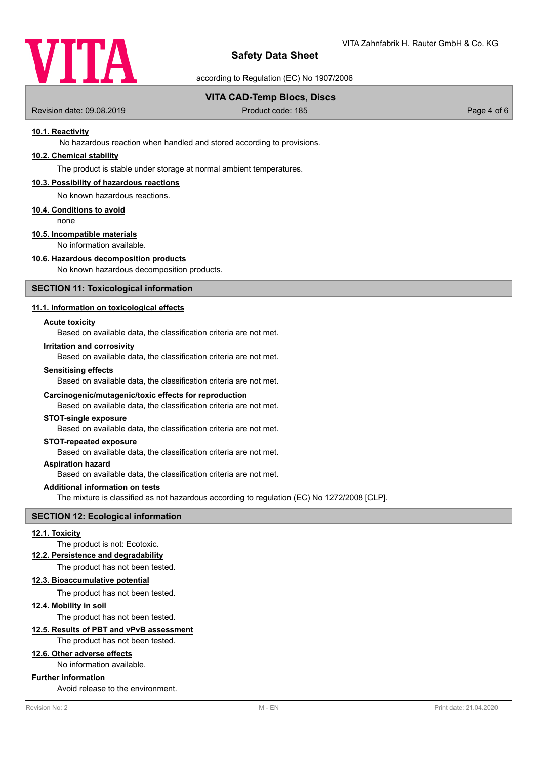

according to Regulation (EC) No 1907/2006

## **VITA CAD-Temp Blocs, Discs**

Revision date: 09.08.2019 **Product code: 185** Product code: 185 Page 4 of 6

## **10.1. Reactivity**

No hazardous reaction when handled and stored according to provisions.

## **10.2. Chemical stability**

The product is stable under storage at normal ambient temperatures.

### **10.3. Possibility of hazardous reactions**

No known hazardous reactions.

#### **10.4. Conditions to avoid**

none

## **10.5. Incompatible materials**

No information available.

## **10.6. Hazardous decomposition products**

No known hazardous decomposition products.

## **SECTION 11: Toxicological information**

### **11.1. Information on toxicological effects**

#### **Acute toxicity**

Based on available data, the classification criteria are not met.

#### **Irritation and corrosivity**

Based on available data, the classification criteria are not met.

#### **Sensitising effects**

Based on available data, the classification criteria are not met.

#### **Carcinogenic/mutagenic/toxic effects for reproduction**

Based on available data, the classification criteria are not met.

## **STOT-single exposure**

Based on available data, the classification criteria are not met.

## **STOT-repeated exposure**

Based on available data, the classification criteria are not met.

# **Aspiration hazard**

Based on available data, the classification criteria are not met.

### **Additional information on tests**

The mixture is classified as not hazardous according to regulation (EC) No 1272/2008 [CLP].

#### **SECTION 12: Ecological information**

#### **12.1. Toxicity**

The product is not: Ecotoxic.

#### **12.2. Persistence and degradability**

The product has not been tested.

#### **12.3. Bioaccumulative potential**

The product has not been tested.

#### **12.4. Mobility in soil**

The product has not been tested.

## **12.5. Results of PBT and vPvB assessment**

The product has not been tested.

# **12.6. Other adverse effects**

No information available.

## **Further information**

Avoid release to the environment.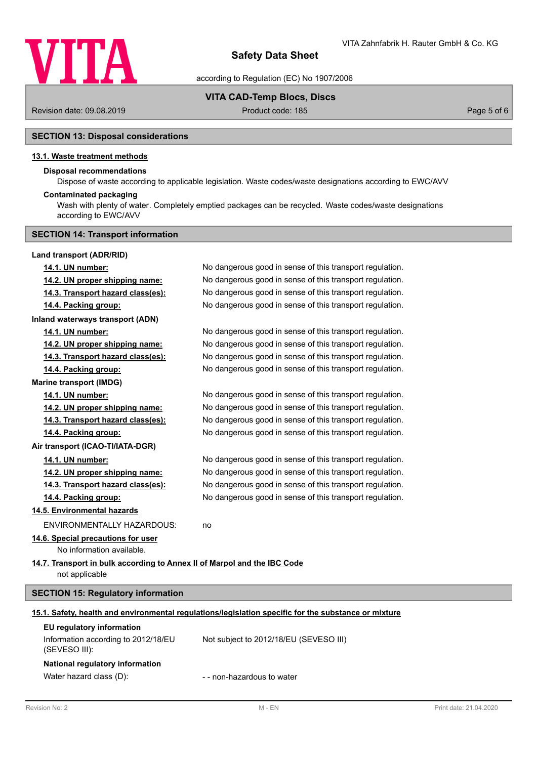

according to Regulation (EC) No 1907/2006

## **VITA CAD-Temp Blocs, Discs**

Revision date: 09.08.2019 **Product code: 185** Page 5 of 6 Page 5 of 6

# **SECTION 13: Disposal considerations**

## **13.1. Waste treatment methods**

# **Disposal recommendations**

Dispose of waste according to applicable legislation. Waste codes/waste designations according to EWC/AVV

## **Contaminated packaging**

Wash with plenty of water. Completely emptied packages can be recycled. Waste codes/waste designations according to EWC/AVV

# **SECTION 14: Transport information**

| Land transport (ADR/RID)                                                                   |                                                                                                      |  |
|--------------------------------------------------------------------------------------------|------------------------------------------------------------------------------------------------------|--|
| 14.1. UN number:                                                                           | No dangerous good in sense of this transport regulation.                                             |  |
| 14.2. UN proper shipping name:                                                             | No dangerous good in sense of this transport regulation.                                             |  |
| 14.3. Transport hazard class(es):                                                          | No dangerous good in sense of this transport regulation.                                             |  |
| 14.4. Packing group:                                                                       | No dangerous good in sense of this transport regulation.                                             |  |
| Inland waterways transport (ADN)                                                           |                                                                                                      |  |
| 14.1. UN number:                                                                           | No dangerous good in sense of this transport regulation.                                             |  |
| 14.2. UN proper shipping name:                                                             | No dangerous good in sense of this transport regulation.                                             |  |
| 14.3. Transport hazard class(es):                                                          | No dangerous good in sense of this transport regulation.                                             |  |
| 14.4. Packing group:                                                                       | No dangerous good in sense of this transport regulation.                                             |  |
| <b>Marine transport (IMDG)</b>                                                             |                                                                                                      |  |
| 14.1. UN number:                                                                           | No dangerous good in sense of this transport regulation.                                             |  |
| 14.2. UN proper shipping name:                                                             | No dangerous good in sense of this transport regulation.                                             |  |
| 14.3. Transport hazard class(es):                                                          | No dangerous good in sense of this transport regulation.                                             |  |
| 14.4. Packing group:                                                                       | No dangerous good in sense of this transport regulation.                                             |  |
| Air transport (ICAO-TI/IATA-DGR)                                                           |                                                                                                      |  |
| 14.1. UN number:                                                                           | No dangerous good in sense of this transport regulation.                                             |  |
| 14.2. UN proper shipping name:                                                             | No dangerous good in sense of this transport regulation.                                             |  |
| 14.3. Transport hazard class(es):                                                          | No dangerous good in sense of this transport regulation.                                             |  |
| 14.4. Packing group:                                                                       | No dangerous good in sense of this transport regulation.                                             |  |
| 14.5. Environmental hazards                                                                |                                                                                                      |  |
| ENVIRONMENTALLY HAZARDOUS:                                                                 | no                                                                                                   |  |
| 14.6. Special precautions for user<br>No information available.                            |                                                                                                      |  |
| 14.7. Transport in bulk according to Annex II of Marpol and the IBC Code<br>not applicable |                                                                                                      |  |
| <b>SECTION 15: Regulatory information</b>                                                  |                                                                                                      |  |
|                                                                                            | 15.1. Safety, health and environmental regulations/legislation specific for the substance or mixture |  |
| EU regulatory information                                                                  |                                                                                                      |  |
| Information according to 2012/18/EU<br>(SEVESO III):                                       | Not subject to 2012/18/EU (SEVESO III)                                                               |  |
| National regulatory information                                                            |                                                                                                      |  |
| Water hazard class (D):                                                                    | - - non-hazardous to water                                                                           |  |
|                                                                                            |                                                                                                      |  |